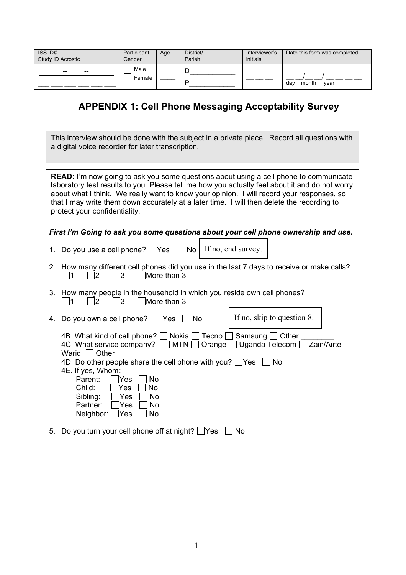| ISS ID#<br>Study ID Acrostic | Participant<br>Gender | Age | District/<br>Parish | Interviewer's<br>initials | Date this form was completed |
|------------------------------|-----------------------|-----|---------------------|---------------------------|------------------------------|
| $- -$<br>--                  | Male<br>Female        |     |                     |                           | month<br>vear<br>dav         |

## **APPENDIX 1: Cell Phone Messaging Acceptability Survey**

This interview should be done with the subject in a private place. Record all questions with a digital voice recorder for later transcription.

**READ:** I'm now going to ask you some questions about using a cell phone to communicate laboratory test results to you. Please tell me how you actually feel about it and do not worry about what I think. We really want to know your opinion. I will record your responses, so that I may write them down accurately at a later time. I will then delete the recording to protect your confidentiality.

## *First I'm Going to ask you some questions about your cell phone ownership and use.*

- 1. Do you use a cell phone?  $\Box$  Yes  $\Box$  No | If no, end survey.
- 2. How many different cell phones did you use in the last 7 days to receive or make calls?<br>  $\Box$ 1  $\Box$ 2  $\Box$ 3  $\Box$ More than 3  $\Box$ 1  $\Box$ 2  $\Box$ 3  $\Box$ More than 3
- 3. How many people in the household in which you reside own cell phones?  $\Box$ 1  $\Box$ 2  $\Box$ 3  $\Box$ More than 3

If no, skip to question 8. 4. Do you own a cell phone?  $\Box$  Yes  $\Box$  No 4B. What kind of cell phone?  $\Box$  Nokia  $\Box$  Tecno  $\Box$  Samsung  $\Box$  Other 4C. What service company?  $\Box$  MTN  $\Box$  Orange  $\Box$  Uganda Telecom  $\Box$  Zain/Airtel  $\Box$ Warid  $\Box$  Other 4D. Do other people share the cell phone with you?  $\Box$  Yes  $\Box$  No 4E. If yes, Whom**:** Parent:  $\Box$ Yes  $\Box$  No

| Child:          | <b>T</b> Yes | No.       |  |
|-----------------|--------------|-----------|--|
| Sibling:        | TYes         | <b>No</b> |  |
| Partner:        | <b>T</b> Yes | <b>No</b> |  |
| Neighbor: □ Yes |              | N٥        |  |

5. Do you turn your cell phone off at night?  $\Box$  Yes  $\Box$  No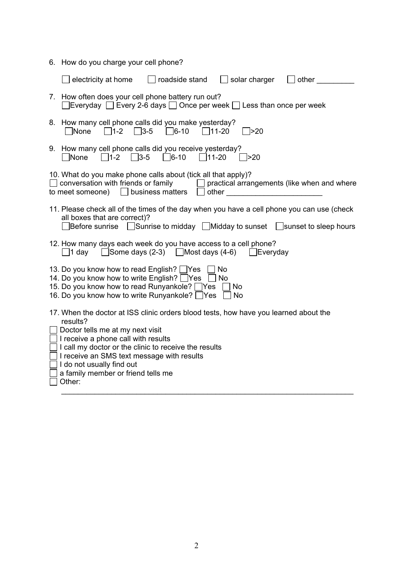| 6. How do you charge your cell phone?                                                                                                                                                                                                                                                                                                                           |  |  |  |
|-----------------------------------------------------------------------------------------------------------------------------------------------------------------------------------------------------------------------------------------------------------------------------------------------------------------------------------------------------------------|--|--|--|
| electricity at home<br>roadside stand<br>solar charger<br>other                                                                                                                                                                                                                                                                                                 |  |  |  |
| 7. How often does your cell phone battery run out?<br>$\Box$ Everyday $\Box$ Every 2-6 days $\Box$ Once per week $\Box$ Less than once per week                                                                                                                                                                                                                 |  |  |  |
| 8. How many cell phone calls did you make yesterday?<br>$\Box$ None<br>$\Box$ 3-5<br>$\Box$ 6-10<br>$\Box$ 1-2<br>$\Box$ 11-20<br>20ר[                                                                                                                                                                                                                          |  |  |  |
| 9. How many cell phone calls did you receive yesterday?<br>$\Box$ 6-10<br>$\Box$ 3-5<br>$\Box$ 11-20<br>None<br>$\Box$ 1-2<br>$\overline{\phantom{1}}$ >20                                                                                                                                                                                                      |  |  |  |
| 10. What do you make phone calls about (tick all that apply)?<br>conversation with friends or family<br>practical arrangements (like when and where<br>to meet someone) $\Box$ business matters<br>other                                                                                                                                                        |  |  |  |
| 11. Please check all of the times of the day when you have a cell phone you can use (check<br>all boxes that are correct)?<br>Before sunrise □Sunrise to midday □Midday to sunset □sunset to sleep hours                                                                                                                                                        |  |  |  |
| 12. How many days each week do you have access to a cell phone?<br>$\Box$ 1 day $\Box$ Some days (2-3) $\Box$ Most days (4-6) $\Box$ Everyday                                                                                                                                                                                                                   |  |  |  |
| 13. Do you know how to read English? Yes<br>No<br>14. Do you know how to write English? Yes<br>$\Box$ No<br>15. Do you know how to read Runyankole? Yes<br><b>No</b><br>16. Do you know how to write Runyankole? Yes<br>No                                                                                                                                      |  |  |  |
| 17. When the doctor at ISS clinic orders blood tests, how have you learned about the<br>results?<br>Doctor tells me at my next visit<br>I receive a phone call with results<br>I call my doctor or the clinic to receive the results<br>I receive an SMS text message with results<br>I do not usually find out<br>a family member or friend tells me<br>Other: |  |  |  |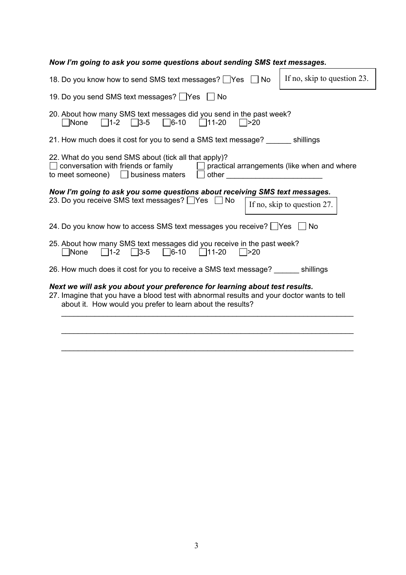| Now I'm going to ask you some questions about sending SMS text messages.                                                                                                                                                                                                                                                                                                                                                                    |                             |
|---------------------------------------------------------------------------------------------------------------------------------------------------------------------------------------------------------------------------------------------------------------------------------------------------------------------------------------------------------------------------------------------------------------------------------------------|-----------------------------|
| 18. Do you know how to send SMS text messages? Ves □ No                                                                                                                                                                                                                                                                                                                                                                                     | If no, skip to question 23. |
| 19. Do you send SMS text messages? Yes No                                                                                                                                                                                                                                                                                                                                                                                                   |                             |
| 20. About how many SMS text messages did you send in the past week?<br>$\Box$ 1-2 $\Box$ 3-5 $\Box$ 6-10 $\Box$ 11-20<br>$\Box$ >20<br> None                                                                                                                                                                                                                                                                                                |                             |
| 21. How much does it cost for you to send a SMS text message? _______ shillings                                                                                                                                                                                                                                                                                                                                                             |                             |
| 22. What do you send SMS about (tick all that apply)?<br>conversation with friends or family $\Box$ practical arrangements (like when and where<br>to meet someone) $\Box$ business maters<br>other and the contract of the contract of the contract of the contract of the contract of the contract of the contract of the contract of the contract of the contract of the contract of the contract of the contract of the<br>$\mathbf{1}$ |                             |
| Now I'm going to ask you some questions about receiving SMS text messages.<br>23. Do you receive SMS text messages? Ves ∩ No                                                                                                                                                                                                                                                                                                                | If no, skip to question 27. |
| 24. Do you know how to access SMS text messages you receive? TYes                                                                                                                                                                                                                                                                                                                                                                           | <b>No</b>                   |
| 25. About how many SMS text messages did you receive in the past week?<br>$\Box$ 6-10 $\Box$ 11-20<br>$\Box$ 1-2 $\Box$ 3-5<br>None<br>$\Box$ >20                                                                                                                                                                                                                                                                                           |                             |
| 26. How much does it cost for you to receive a SMS text message? _______ shillings                                                                                                                                                                                                                                                                                                                                                          |                             |
| Next we will ask you about your preference for learning about test results.<br>27. Imagine that you have a blood test with abnormal results and your doctor wants to tell<br>about it. How would you prefer to learn about the results?                                                                                                                                                                                                     |                             |
|                                                                                                                                                                                                                                                                                                                                                                                                                                             |                             |

\_\_\_\_\_\_\_\_\_\_\_\_\_\_\_\_\_\_\_\_\_\_\_\_\_\_\_\_\_\_\_\_\_\_\_\_\_\_\_\_\_\_\_\_\_\_\_\_\_\_\_\_\_\_\_\_\_\_\_\_\_\_\_\_\_\_\_\_\_\_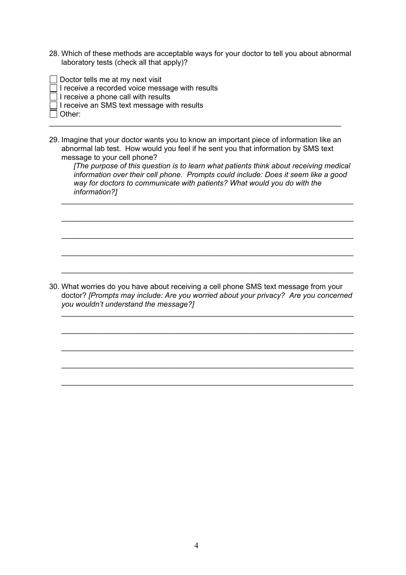- 28. Which of these methods are acceptable ways for your doctor to tell you about abnormal laboratory tests (check all that apply)?
- $\Box$  Doctor tells me at my next visit
- $\Box$  I receive a recorded voice message with results
- $\Box$  I receive a phone call with results
- $\Box$  I receive an SMS text message with results
- Other: \_\_\_\_\_\_\_\_\_\_\_\_\_\_\_\_\_\_\_\_\_\_\_\_\_\_\_\_\_\_\_\_\_\_\_\_\_\_\_\_\_\_\_\_\_\_\_\_\_\_\_\_\_\_\_\_\_\_\_\_\_\_\_\_\_\_\_\_\_\_
- 29. Imagine that your doctor wants you to know an important piece of information like an abnormal lab test. How would you feel if he sent you that information by SMS text message to your cell phone?

*[The purpose of this question is to learn what patients think about receiving medical information over their cell phone. Prompts could include: Does it seem like a good way for doctors to communicate with patients? What would you do with the information?]*

\_\_\_\_\_\_\_\_\_\_\_\_\_\_\_\_\_\_\_\_\_\_\_\_\_\_\_\_\_\_\_\_\_\_\_\_\_\_\_\_\_\_\_\_\_\_\_\_\_\_\_\_\_\_\_\_\_\_\_\_\_\_\_\_\_\_\_\_\_\_

\_\_\_\_\_\_\_\_\_\_\_\_\_\_\_\_\_\_\_\_\_\_\_\_\_\_\_\_\_\_\_\_\_\_\_\_\_\_\_\_\_\_\_\_\_\_\_\_\_\_\_\_\_\_\_\_\_\_\_\_\_\_\_\_\_\_\_\_\_\_

\_\_\_\_\_\_\_\_\_\_\_\_\_\_\_\_\_\_\_\_\_\_\_\_\_\_\_\_\_\_\_\_\_\_\_\_\_\_\_\_\_\_\_\_\_\_\_\_\_\_\_\_\_\_\_\_\_\_\_\_\_\_\_\_\_\_\_\_\_\_

\_\_\_\_\_\_\_\_\_\_\_\_\_\_\_\_\_\_\_\_\_\_\_\_\_\_\_\_\_\_\_\_\_\_\_\_\_\_\_\_\_\_\_\_\_\_\_\_\_\_\_\_\_\_\_\_\_\_\_\_\_\_\_\_\_\_\_\_\_\_

\_\_\_\_\_\_\_\_\_\_\_\_\_\_\_\_\_\_\_\_\_\_\_\_\_\_\_\_\_\_\_\_\_\_\_\_\_\_\_\_\_\_\_\_\_\_\_\_\_\_\_\_\_\_\_\_\_\_\_\_\_\_\_\_\_\_\_\_\_\_

\_\_\_\_\_\_\_\_\_\_\_\_\_\_\_\_\_\_\_\_\_\_\_\_\_\_\_\_\_\_\_\_\_\_\_\_\_\_\_\_\_\_\_\_\_\_\_\_\_\_\_\_\_\_\_\_\_\_\_\_\_\_\_\_\_\_\_\_\_\_

\_\_\_\_\_\_\_\_\_\_\_\_\_\_\_\_\_\_\_\_\_\_\_\_\_\_\_\_\_\_\_\_\_\_\_\_\_\_\_\_\_\_\_\_\_\_\_\_\_\_\_\_\_\_\_\_\_\_\_\_\_\_\_\_\_\_\_\_\_\_

\_\_\_\_\_\_\_\_\_\_\_\_\_\_\_\_\_\_\_\_\_\_\_\_\_\_\_\_\_\_\_\_\_\_\_\_\_\_\_\_\_\_\_\_\_\_\_\_\_\_\_\_\_\_\_\_\_\_\_\_\_\_\_\_\_\_\_\_\_\_

\_\_\_\_\_\_\_\_\_\_\_\_\_\_\_\_\_\_\_\_\_\_\_\_\_\_\_\_\_\_\_\_\_\_\_\_\_\_\_\_\_\_\_\_\_\_\_\_\_\_\_\_\_\_\_\_\_\_\_\_\_\_\_\_\_\_\_\_\_\_

\_\_\_\_\_\_\_\_\_\_\_\_\_\_\_\_\_\_\_\_\_\_\_\_\_\_\_\_\_\_\_\_\_\_\_\_\_\_\_\_\_\_\_\_\_\_\_\_\_\_\_\_\_\_\_\_\_\_\_\_\_\_\_\_\_\_\_\_\_\_

30. What worries do you have about receiving a cell phone SMS text message from your doctor? *[Prompts may include: Are you worried about your privacy? Are you concerned you wouldn't understand the message?]*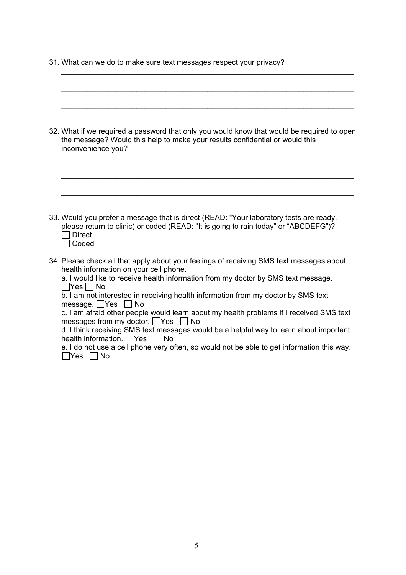31. What can we do to make sure text messages respect your privacy?

| 32. What if we required a password that only you would know that would be required to open<br>the message? Would this help to make your results confidential or would this<br>inconvenience you?                                                                                                                                                                           |
|----------------------------------------------------------------------------------------------------------------------------------------------------------------------------------------------------------------------------------------------------------------------------------------------------------------------------------------------------------------------------|
| 33. Would you prefer a message that is direct (READ: "Your laboratory tests are ready,                                                                                                                                                                                                                                                                                     |
| please return to clinic) or coded (READ: "It is going to rain today" or "ABCDEFG")?<br><b>Direct</b><br>Coded<br>34. Please check all that apply about your feelings of receiving SMS text messages about                                                                                                                                                                  |
| health information on your cell phone.<br>a. I would like to receive health information from my doctor by SMS text message.<br>  Yes     No<br>b. I am not interested in receiving health information from my doctor by SMS text<br>message. $\Box$ Yes<br>$\Box$ No                                                                                                       |
| c. I am afraid other people would learn about my health problems if I received SMS text<br>messages from my doctor. $\Box$ Yes<br>  No<br>d. I think receiving SMS text messages would be a helpful way to learn about important<br>health information. $\Box$ Yes $\Box$ No<br>e. I do not use a cell phone very often, so would not be able to get information this way. |
| $\Box$ Yes $\Box$ No                                                                                                                                                                                                                                                                                                                                                       |

\_\_\_\_\_\_\_\_\_\_\_\_\_\_\_\_\_\_\_\_\_\_\_\_\_\_\_\_\_\_\_\_\_\_\_\_\_\_\_\_\_\_\_\_\_\_\_\_\_\_\_\_\_\_\_\_\_\_\_\_\_\_\_\_\_\_\_\_\_\_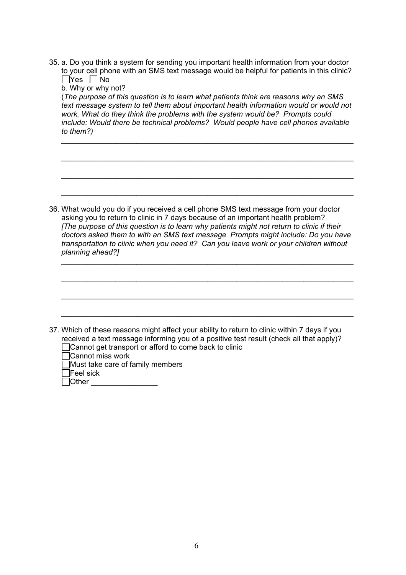35. a. Do you think a system for sending you important health information from your doctor to your cell phone with an SMS text message would be helpful for patients in this clinic?  $\Box$ Yes  $\Box$ No

b. Why or why not? (*The purpose of this question is to learn what patients think are reasons why an SMS text message system to tell them about important health information would or would not work. What do they think the problems with the system would be? Prompts could include: Would there be technical problems? Would people have cell phones available to them?)*

\_\_\_\_\_\_\_\_\_\_\_\_\_\_\_\_\_\_\_\_\_\_\_\_\_\_\_\_\_\_\_\_\_\_\_\_\_\_\_\_\_\_\_\_\_\_\_\_\_\_\_\_\_\_\_\_\_\_\_\_\_\_\_\_\_\_\_\_\_\_

\_\_\_\_\_\_\_\_\_\_\_\_\_\_\_\_\_\_\_\_\_\_\_\_\_\_\_\_\_\_\_\_\_\_\_\_\_\_\_\_\_\_\_\_\_\_\_\_\_\_\_\_\_\_\_\_\_\_\_\_\_\_\_\_\_\_\_\_\_\_

\_\_\_\_\_\_\_\_\_\_\_\_\_\_\_\_\_\_\_\_\_\_\_\_\_\_\_\_\_\_\_\_\_\_\_\_\_\_\_\_\_\_\_\_\_\_\_\_\_\_\_\_\_\_\_\_\_\_\_\_\_\_\_\_\_\_\_\_\_\_

\_\_\_\_\_\_\_\_\_\_\_\_\_\_\_\_\_\_\_\_\_\_\_\_\_\_\_\_\_\_\_\_\_\_\_\_\_\_\_\_\_\_\_\_\_\_\_\_\_\_\_\_\_\_\_\_\_\_\_\_\_\_\_\_\_\_\_\_\_\_

36. What would you do if you received a cell phone SMS text message from your doctor asking you to return to clinic in 7 days because of an important health problem? *[The purpose of this question is to learn why patients might not return to clinic if their doctors asked them to with an SMS text message Prompts might include: Do you have transportation to clinic when you need it? Can you leave work or your children without planning ahead?]*

\_\_\_\_\_\_\_\_\_\_\_\_\_\_\_\_\_\_\_\_\_\_\_\_\_\_\_\_\_\_\_\_\_\_\_\_\_\_\_\_\_\_\_\_\_\_\_\_\_\_\_\_\_\_\_\_\_\_\_\_\_\_\_\_\_\_\_\_\_\_

\_\_\_\_\_\_\_\_\_\_\_\_\_\_\_\_\_\_\_\_\_\_\_\_\_\_\_\_\_\_\_\_\_\_\_\_\_\_\_\_\_\_\_\_\_\_\_\_\_\_\_\_\_\_\_\_\_\_\_\_\_\_\_\_\_\_\_\_\_\_

| 37. Which of these reasons might affect your ability to return to clinic within 7 days if you<br>received a text message informing you of a positive test result (check all that apply)?<br>□ Cannot get transport or afford to come back to clinic |
|-----------------------------------------------------------------------------------------------------------------------------------------------------------------------------------------------------------------------------------------------------|
| □Cannot miss work                                                                                                                                                                                                                                   |

Must take care of family members

| <b>Feel sick</b> |  |
|------------------|--|
|------------------|--|

 $\Box$  Other  $\Box$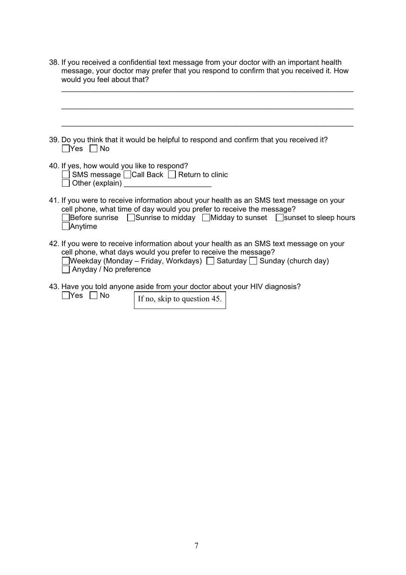38. If you received a confidential text message from your doctor with an important health message, your doctor may prefer that you respond to confirm that you received it. How would you feel about that?

| 39. Do you think that it would be helpful to respond and confirm that you received it?<br> Yes   No                                                                                                                                                                          |
|------------------------------------------------------------------------------------------------------------------------------------------------------------------------------------------------------------------------------------------------------------------------------|
| 40. If yes, how would you like to respond?<br>SMS message □ Call Back □ Return to clinic<br>Other (explain)                                                                                                                                                                  |
| 41. If you were to receive information about your health as an SMS text message on your<br>cell phone, what time of day would you prefer to receive the message?<br>Before sunrise $\Box$ Sunrise to midday $\Box$ Midday to sunset $\Box$ sunset to sleep hours<br>Anytime  |
| 42. If you were to receive information about your health as an SMS text message on your<br>cell phone, what days would you prefer to receive the message?<br>$\Box$ Weekday (Monday – Friday, Workdays) $\Box$ Saturday $\Box$ Sunday (church day)<br>Anyday / No preference |

43. Have you told anyone aside from your doctor about your HIV diagnosis?  $Nes \Box No$ 

If no, skip to question 45.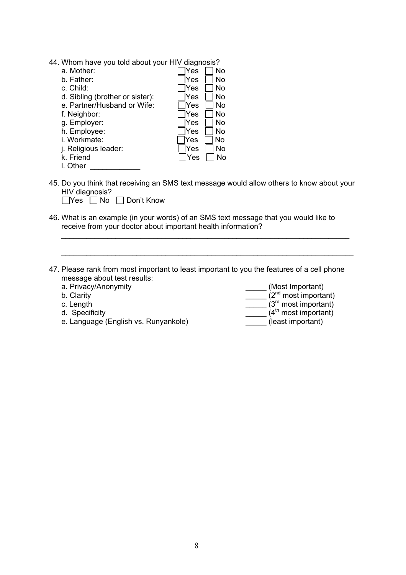44. Whom have you told about your HIV diagnosis?

| a. Mother:                      | Yes<br>No |
|---------------------------------|-----------|
| b. Father:                      | Yes<br>No |
| c. Child:                       | Yes<br>No |
| d. Sibling (brother or sister): | Yes<br>No |
| e. Partner/Husband or Wife:     | Yes<br>No |
| f. Neighbor:                    | Yes<br>No |
| g. Employer:                    | Yes<br>No |
| h. Employee:                    | Yes<br>No |
| i. Workmate:                    | No<br>Yes |
| j. Religious leader:            | Yes<br>No |
| k. Friend                       | Yes<br>No |
| l. Other                        |           |

45. Do you think that receiving an SMS text message would allow others to know about your HIV diagnosis?

\_\_\_\_\_\_\_\_\_\_\_\_\_\_\_\_\_\_\_\_\_\_\_\_\_\_\_\_\_\_\_\_\_\_\_\_\_\_\_\_\_\_\_\_\_\_\_\_\_\_\_\_\_\_\_\_\_\_\_\_\_\_\_\_\_\_\_\_\_

\_\_\_\_\_\_\_\_\_\_\_\_\_\_\_\_\_\_\_\_\_\_\_\_\_\_\_\_\_\_\_\_\_\_\_\_\_\_\_\_\_\_\_\_\_\_\_\_\_\_\_\_\_\_\_\_\_\_\_\_\_\_\_\_\_\_\_\_\_\_

|  |  | ■ Yes ■ No ■ Don't Know |
|--|--|-------------------------|
|--|--|-------------------------|

- 46. What is an example (in your words) of an SMS text message that you would like to receive from your doctor about important health information?
- 47. Please rank from most important to least important to you the features of a cell phone message about test results:<br>a. Privacy/Anonymity
	- a. Privacy/Anonymity \_\_\_\_\_\_\_\_\_\_\_\_\_\_\_\_\_\_\_\_\_\_\_\_\_\_\_\_\_\_\_\_\_\_(Most Important)
	-
	-
	-
	- e. Language (English vs. Runyankole) et al. (least important)

b. Clarity  $\overline{C}$  (2<sup>nd</sup> most important)

c. Length  $\overline{C}$  (3<sup>rd</sup> most important)

d. Specificity  $\overline{a}$  (4<sup>th</sup> most important)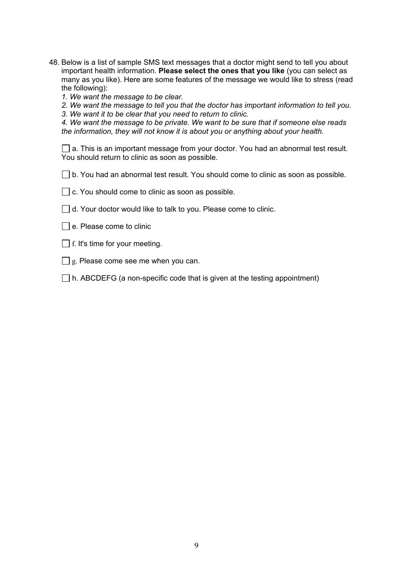48. Below is a list of sample SMS text messages that a doctor might send to tell you about important health information. **Please select the ones that you like** (you can select as many as you like). Here are some features of the message we would like to stress (read the following):

*1. We want the message to be clear.*

*2. We want the message to tell you that the doctor has important information to tell you.*

*3. We want it to be clear that you need to return to clinic.*

*4. We want the message to be private. We want to be sure that if someone else reads the information, they will not know it is about you or anything about your health.*

□ a. This is an important message from your doctor. You had an abnormal test result. You should return to clinic as soon as possible.

 $\Box$  b. You had an abnormal test result. You should come to clinic as soon as possible.

- $\Box$  c. You should come to clinic as soon as possible.
- $\Box$  d. Your doctor would like to talk to you. Please come to clinic.
- $\Box$  e. Please come to clinic
- $\Box$  f. It's time for your meeting.
- $\Box$  g. Please come see me when you can.
- $\Box$  h. ABCDEFG (a non-specific code that is given at the testing appointment)